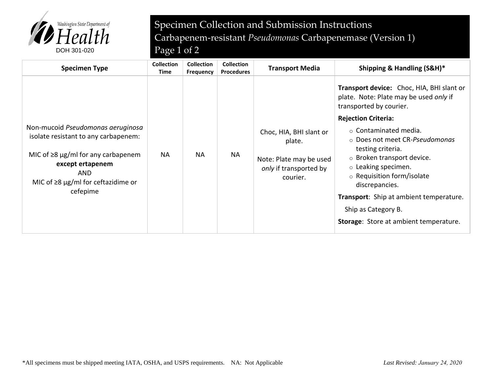

## Specimen Collection and Submission Instructions Carbapenem-resistant *Pseudomonas* Carbapenemase (Version 1)

| <b>Specimen Type</b>                                                                                                                                                                                            | <b>Collection</b><br>Time | <b>Collection</b><br>Frequency | <b>Collection</b><br><b>Procedures</b> | <b>Transport Media</b>                                                                             | Shipping & Handling (S&H)*                                                                                                                                                                                                                                                                                                                                                                                                                                            |
|-----------------------------------------------------------------------------------------------------------------------------------------------------------------------------------------------------------------|---------------------------|--------------------------------|----------------------------------------|----------------------------------------------------------------------------------------------------|-----------------------------------------------------------------------------------------------------------------------------------------------------------------------------------------------------------------------------------------------------------------------------------------------------------------------------------------------------------------------------------------------------------------------------------------------------------------------|
| Non-mucoid Pseudomonas aeruginosa<br>isolate resistant to any carbapenem:<br>MIC of $\geq$ 8 µg/ml for any carbapenem<br>except ertapenem<br><b>AND</b><br>MIC of $\geq$ 8 µg/ml for ceftazidime or<br>cefepime | <b>NA</b>                 | <b>NA</b>                      | <b>NA</b>                              | Choc, HIA, BHI slant or<br>plate.<br>Note: Plate may be used<br>only if transported by<br>courier. | Transport device: Choc, HIA, BHI slant or<br>plate. Note: Plate may be used only if<br>transported by courier.<br><b>Rejection Criteria:</b><br>$\circ$ Contaminated media.<br>○ Does not meet CR-Pseudomonas<br>testing criteria.<br>$\circ$ Broken transport device.<br>$\circ$ Leaking specimen.<br>$\circ$ Requisition form/isolate<br>discrepancies.<br>Transport: Ship at ambient temperature.<br>Ship as Category B.<br>Storage: Store at ambient temperature. |